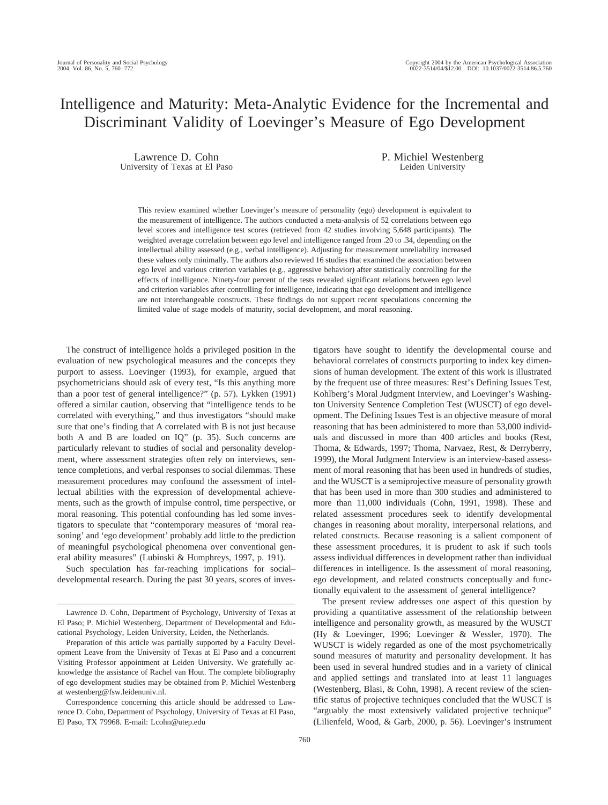# Intelligence and Maturity: Meta-Analytic Evidence for the Incremental and Discriminant Validity of Loevinger's Measure of Ego Development

Lawrence D. Cohn University of Texas at El Paso P. Michiel Westenberg Leiden University

tigators have sought to identify the developmental course and behavioral correlates of constructs purporting to index key dimensions of human development. The extent of this work is illustrated by the frequent use of three measures: Rest's Defining Issues Test, Kohlberg's Moral Judgment Interview, and Loevinger's Washington University Sentence Completion Test (WUSCT) of ego development. The Defining Issues Test is an objective measure of moral reasoning that has been administered to more than 53,000 individuals and discussed in more than 400 articles and books (Rest, Thoma, & Edwards, 1997; Thoma, Narvaez, Rest, & Derryberry, 1999), the Moral Judgment Interview is an interview-based assessment of moral reasoning that has been used in hundreds of studies, and the WUSCT is a semiprojective measure of personality growth that has been used in more than 300 studies and administered to

This review examined whether Loevinger's measure of personality (ego) development is equivalent to the measurement of intelligence. The authors conducted a meta-analysis of 52 correlations between ego level scores and intelligence test scores (retrieved from 42 studies involving 5,648 participants). The weighted average correlation between ego level and intelligence ranged from .20 to .34, depending on the intellectual ability assessed (e.g., verbal intelligence). Adjusting for measurement unreliability increased these values only minimally. The authors also reviewed 16 studies that examined the association between ego level and various criterion variables (e.g., aggressive behavior) after statistically controlling for the effects of intelligence. Ninety-four percent of the tests revealed significant relations between ego level and criterion variables after controlling for intelligence, indicating that ego development and intelligence are not interchangeable constructs. These findings do not support recent speculations concerning the limited value of stage models of maturity, social development, and moral reasoning.

The construct of intelligence holds a privileged position in the evaluation of new psychological measures and the concepts they purport to assess. Loevinger (1993), for example, argued that psychometricians should ask of every test, "Is this anything more than a poor test of general intelligence?" (p. 57). Lykken (1991) offered a similar caution, observing that "intelligence tends to be correlated with everything," and thus investigators "should make sure that one's finding that A correlated with B is not just because both A and B are loaded on IQ" (p. 35). Such concerns are particularly relevant to studies of social and personality development, where assessment strategies often rely on interviews, sentence completions, and verbal responses to social dilemmas. These measurement procedures may confound the assessment of intellectual abilities with the expression of developmental achievements, such as the growth of impulse control, time perspective, or moral reasoning. This potential confounding has led some investigators to speculate that "contemporary measures of 'moral reasoning' and 'ego development' probably add little to the prediction of meaningful psychological phenomena over conventional general ability measures" (Lubinski & Humphreys, 1997, p. 191).

Such speculation has far-reaching implications for social– developmental research. During the past 30 years, scores of inves-

Correspondence concerning this article should be addressed to Lawrence D. Cohn, Department of Psychology, University of Texas at El Paso, El Paso, TX 79968. E-mail: Lcohn@utep.edu

more than 11,000 individuals (Cohn, 1991, 1998). These and related assessment procedures seek to identify developmental changes in reasoning about morality, interpersonal relations, and related constructs. Because reasoning is a salient component of these assessment procedures, it is prudent to ask if such tools assess individual differences in development rather than individual differences in intelligence. Is the assessment of moral reasoning, ego development, and related constructs conceptually and functionally equivalent to the assessment of general intelligence? The present review addresses one aspect of this question by providing a quantitative assessment of the relationship between intelligence and personality growth, as measured by the WUSCT (Hy & Loevinger, 1996; Loevinger & Wessler, 1970). The WUSCT is widely regarded as one of the most psychometrically sound measures of maturity and personality development. It has been used in several hundred studies and in a variety of clinical and applied settings and translated into at least 11 languages (Westenberg, Blasi, & Cohn, 1998). A recent review of the scien-

tific status of projective techniques concluded that the WUSCT is "arguably the most extensively validated projective technique" (Lilienfeld, Wood, & Garb, 2000, p. 56). Loevinger's instrument

Lawrence D. Cohn, Department of Psychology, University of Texas at El Paso; P. Michiel Westenberg, Department of Developmental and Educational Psychology, Leiden University, Leiden, the Netherlands.

Preparation of this article was partially supported by a Faculty Development Leave from the University of Texas at El Paso and a concurrent Visiting Professor appointment at Leiden University. We gratefully acknowledge the assistance of Rachel van Hout. The complete bibliography of ego development studies may be obtained from P. Michiel Westenberg at westenberg@fsw.leidenuniv.nl.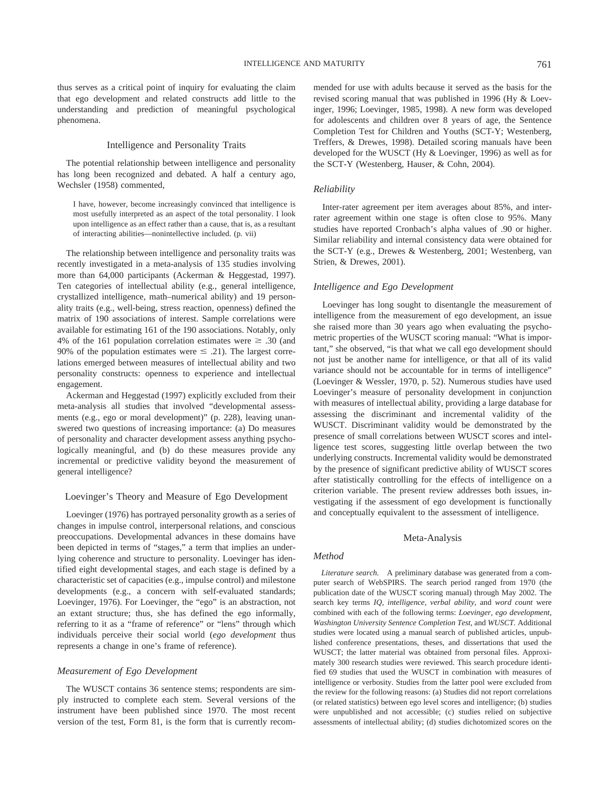thus serves as a critical point of inquiry for evaluating the claim that ego development and related constructs add little to the understanding and prediction of meaningful psychological phenomena.

# Intelligence and Personality Traits

The potential relationship between intelligence and personality has long been recognized and debated. A half a century ago, Wechsler (1958) commented,

I have, however, become increasingly convinced that intelligence is most usefully interpreted as an aspect of the total personality. I look upon intelligence as an effect rather than a cause, that is, as a resultant of interacting abilities—nonintellective included. (p. vii)

The relationship between intelligence and personality traits was recently investigated in a meta-analysis of 135 studies involving more than 64,000 participants (Ackerman & Heggestad, 1997). Ten categories of intellectual ability (e.g., general intelligence, crystallized intelligence, math–numerical ability) and 19 personality traits (e.g., well-being, stress reaction, openness) defined the matrix of 190 associations of interest. Sample correlations were available for estimating 161 of the 190 associations. Notably, only 4% of the 161 population correlation estimates were  $\geq .30$  (and 90% of the population estimates were  $\leq$  .21). The largest correlations emerged between measures of intellectual ability and two personality constructs: openness to experience and intellectual engagement.

Ackerman and Heggestad (1997) explicitly excluded from their meta-analysis all studies that involved "developmental assessments (e.g., ego or moral development)" (p. 228), leaving unanswered two questions of increasing importance: (a) Do measures of personality and character development assess anything psychologically meaningful, and (b) do these measures provide any incremental or predictive validity beyond the measurement of general intelligence?

# Loevinger's Theory and Measure of Ego Development

Loevinger (1976) has portrayed personality growth as a series of changes in impulse control, interpersonal relations, and conscious preoccupations. Developmental advances in these domains have been depicted in terms of "stages," a term that implies an underlying coherence and structure to personality. Loevinger has identified eight developmental stages, and each stage is defined by a characteristic set of capacities (e.g., impulse control) and milestone developments (e.g., a concern with self-evaluated standards; Loevinger, 1976). For Loevinger, the "ego" is an abstraction, not an extant structure; thus, she has defined the ego informally, referring to it as a "frame of reference" or "lens" through which individuals perceive their social world (*ego development* thus represents a change in one's frame of reference).

# *Measurement of Ego Development*

The WUSCT contains 36 sentence stems; respondents are simply instructed to complete each stem. Several versions of the instrument have been published since 1970. The most recent version of the test, Form 81, is the form that is currently recommended for use with adults because it served as the basis for the revised scoring manual that was published in 1996 (Hy & Loevinger, 1996; Loevinger, 1985, 1998). A new form was developed for adolescents and children over 8 years of age, the Sentence Completion Test for Children and Youths (SCT-Y; Westenberg, Treffers, & Drewes, 1998). Detailed scoring manuals have been developed for the WUSCT (Hy & Loevinger, 1996) as well as for the SCT-Y (Westenberg, Hauser, & Cohn, 2004).

### *Reliability*

Inter-rater agreement per item averages about 85%, and interrater agreement within one stage is often close to 95%. Many studies have reported Cronbach's alpha values of .90 or higher. Similar reliability and internal consistency data were obtained for the SCT-Y (e.g., Drewes & Westenberg, 2001; Westenberg, van Strien, & Drewes, 2001).

# *Intelligence and Ego Development*

Loevinger has long sought to disentangle the measurement of intelligence from the measurement of ego development, an issue she raised more than 30 years ago when evaluating the psychometric properties of the WUSCT scoring manual: "What is important," she observed, "is that what we call ego development should not just be another name for intelligence, or that all of its valid variance should not be accountable for in terms of intelligence" (Loevinger & Wessler, 1970, p. 52). Numerous studies have used Loevinger's measure of personality development in conjunction with measures of intellectual ability, providing a large database for assessing the discriminant and incremental validity of the WUSCT. Discriminant validity would be demonstrated by the presence of small correlations between WUSCT scores and intelligence test scores, suggesting little overlap between the two underlying constructs. Incremental validity would be demonstrated by the presence of significant predictive ability of WUSCT scores after statistically controlling for the effects of intelligence on a criterion variable. The present review addresses both issues, investigating if the assessment of ego development is functionally and conceptually equivalent to the assessment of intelligence.

# Meta-Analysis

#### *Method*

*Literature search.* A preliminary database was generated from a computer search of WebSPIRS. The search period ranged from 1970 (the publication date of the WUSCT scoring manual) through May 2002. The search key terms *IQ, intelligence, verbal ability,* and *word count* were combined with each of the following terms: *Loevinger, ego development, Washington University Sentence Completion Test,* and *WUSCT.* Additional studies were located using a manual search of published articles, unpublished conference presentations, theses, and dissertations that used the WUSCT; the latter material was obtained from personal files. Approximately 300 research studies were reviewed. This search procedure identified 69 studies that used the WUSCT in combination with measures of intelligence or verbosity. Studies from the latter pool were excluded from the review for the following reasons: (a) Studies did not report correlations (or related statistics) between ego level scores and intelligence; (b) studies were unpublished and not accessible; (c) studies relied on subjective assessments of intellectual ability; (d) studies dichotomized scores on the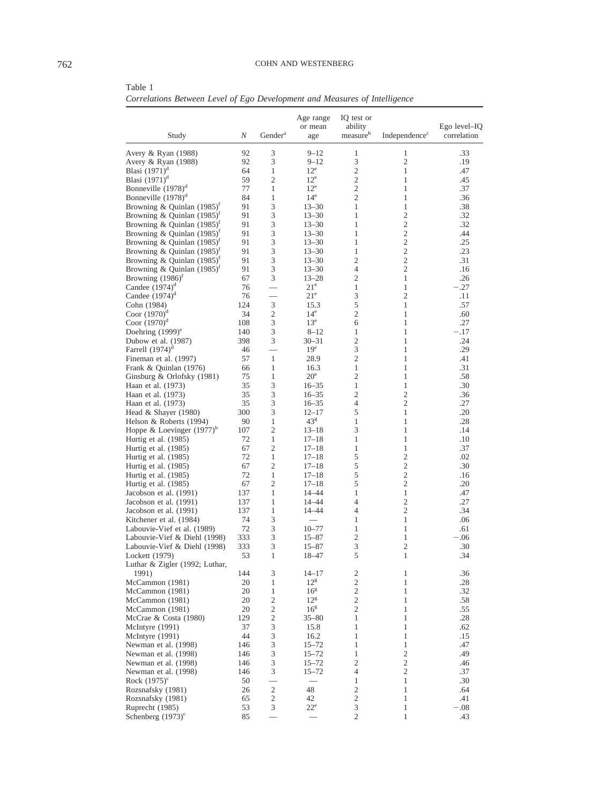Table 1

*Correlations Between Level of Ego Development and Measures of Intelligence*

| Study                                                    | N         | Gender <sup>a</sup> | Age range<br>or mean<br>age  | IQ test or<br>ability<br>measureb | Independence <sup>c</sup> | $Ego$ level-IQ<br>correlation |
|----------------------------------------------------------|-----------|---------------------|------------------------------|-----------------------------------|---------------------------|-------------------------------|
| Avery & Ryan (1988)                                      | 92        | 3                   | $9 - 12$                     | 1                                 | 1                         | .33                           |
| Avery & Ryan (1988)                                      | 92        | 3                   | $9 - 12$                     | 3                                 | 2                         | .19                           |
| Blasi $(1971)^d$                                         | 64        | 1                   | $12^e$                       | $\overline{c}$                    | 1                         | .47                           |
| Blasi $(1971)^d$                                         | 59        | 2                   | $12^e$                       | $\overline{c}$                    | 1                         | .45                           |
| Bonneville $(1978)^d$                                    | 77        | 1                   | $12^e$                       | $\overline{c}$                    | 1                         | .37                           |
| Bonneville $(1978)^d$                                    | 84        | 1                   | 14 <sup>e</sup>              | $\overline{c}$                    | 1                         | .36                           |
| Browning & Quinlan $(1985)^f$                            | 91        | 3                   | $13 - 30$                    | 1                                 | 1                         | .38                           |
| Browning & Quinlan $(1985)^{r}$                          | 91        | 3                   | $13 - 30$                    | 1                                 | 2                         | .32                           |
| Browning & Quinlan $(1985)^{r}$                          | 91        | 3                   | $13 - 30$                    | 1                                 | 2                         | .32                           |
| Browning & Quinlan $(1985)^t$                            | 91        | 3                   | $13 - 30$                    | 1                                 | 2                         | .44                           |
| Browning & Quinlan $(1985)^{r}$                          | 91        | 3                   | $13 - 30$                    | 1                                 | 2                         | .25                           |
| Browning & Quinlan $(1985)^{r}$                          | 91<br>91  | 3                   | $13 - 30$                    | 1<br>$\overline{c}$               | 2<br>2                    | .23<br>.31                    |
| Browning & Quinlan $(1985)^{r}$                          | 91        | 3<br>3              | $13 - 30$<br>$13 - 30$       | 4                                 | 2                         | .16                           |
| Browning & Quinlan $(1985)^{r}$<br>Browning $(1986)^{r}$ | 67        | 3                   | $13 - 28$                    | $\overline{c}$                    | 1                         | .26                           |
| Candee $(1974)^d$                                        | 76        |                     | $21^{\circ}$                 | 1                                 | 1                         | $-.27$                        |
| Candee $(1974)^d$                                        | 76        |                     | 21 <sup>e</sup>              | 3                                 | $\overline{c}$            | .11                           |
| Cohn (1984)                                              | 124       | $\mathfrak{Z}$      | 15.3                         | 5                                 | 1                         | .57                           |
| Coor $(1970)^d$                                          | 34        | 2                   | $14^e$                       | $\overline{c}$                    | 1                         | .60                           |
| Coor $(1970)^d$                                          | 108       | 3                   | 13 <sup>e</sup>              | 6                                 | 1                         | .27                           |
| Doehring $(1999)$ <sup>e</sup>                           | 140       | 3                   | $8 - 12$                     | 1                                 | 1                         | $-.17$                        |
| Dubow et al. (1987)                                      | 398       | 3                   | $30 - 31$                    | $\overline{c}$                    | 1                         | .24                           |
| Farrell $(1974)^d$                                       | 46        |                     | 19 <sup>e</sup>              | 3                                 | 1                         | .29                           |
| Fineman et al. (1997)                                    | 57        | $\mathbf{1}$        | 28.9                         | $\overline{c}$                    | 1                         | .41                           |
| Frank & Quinlan (1976)                                   | 66        | 1                   | 16.3                         | 1                                 | 1                         | .31                           |
| Ginsburg & Orlofsky (1981)                               | 75        | 1                   | 20 <sup>e</sup>              | $\overline{c}$                    | 1                         | .58                           |
| Haan et al. (1973)                                       | 35        | 3                   | $16 - 35$                    | 1                                 | 1                         | .30                           |
| Haan et al. (1973)                                       | 35        | 3                   | $16 - 35$                    | $\overline{c}$                    | 2                         | .36                           |
| Haan et al. (1973)                                       | 35        | 3                   | $16 - 35$                    | 4                                 | $\overline{c}$            | .27                           |
| Head & Shayer (1980)                                     | 300       | 3                   | $12 - 17$                    | 5                                 | 1                         | .20                           |
| Helson & Roberts (1994)                                  | 90<br>107 | 1<br>2              | 43 <sup>g</sup><br>$13 - 18$ | 1<br>3                            | 1<br>1                    | .28<br>.14                    |
| Hoppe & Loevinger $(1977)^n$<br>Hurtig et al. (1985)     | 72        | 1                   | $17 - 18$                    | 1                                 | 1                         | .10                           |
| Hurtig et al. (1985)                                     | 67        | 2                   | $17 - 18$                    | 1                                 | 1                         | .37                           |
| Hurtig et al. (1985)                                     | 72        | 1                   | $17 - 18$                    | 5                                 | 2                         | .02                           |
| Hurtig et al. (1985)                                     | 67        | 2                   | $17 - 18$                    | 5                                 | 2                         | .30                           |
| Hurtig et al. (1985)                                     | 72        | 1                   | $17 - 18$                    | 5                                 | 2                         | .16                           |
| Hurtig et al. (1985)                                     | 67        | 2                   | $17 - 18$                    | 5                                 | 2                         | .20                           |
| Jacobson et al. (1991)                                   | 137       | 1                   | 14-44                        | 1                                 | 1                         | .47                           |
| Jacobson et al. (1991)                                   | 137       | 1                   | 14-44                        | 4                                 | 2                         | .27                           |
| Jacobson et al. (1991)                                   | 137       | 1                   | 14-44                        | 4                                 | 2                         | .34                           |
| Kitchener et al. (1984)                                  | 74        | 3                   |                              | 1                                 | 1                         | .06                           |
| Labouvie-Vief et al. (1989)                              | 72        | 3                   | $10 - 77$                    | 1                                 | 1                         | .61                           |
| Labouvie-Vief & Diehl (1998)                             | 333       | 3                   | $15 - 87$                    | $\overline{c}$                    | 1                         | -.06                          |
| Labouvie-Vief & Diehl (1998)                             | 333       | 3                   | $15 - 87$                    | 3                                 | 2                         | .30                           |
| Lockett (1979)                                           | 53        | 1                   | 18-47                        | 5                                 | 1                         | .34                           |
| Luthar & Zigler (1992; Luthar,<br>1991)                  | 144       | 3                   | $14 - 17$                    | $\mathfrak{2}$                    | $\mathbf{1}$              | .36                           |
| McCammon (1981)                                          | 20        | 1                   | $12^{\rm g}$                 | $\mathfrak{2}$                    | 1                         | .28                           |
| McCammon (1981)                                          | 20        | $\mathbf{1}$        | $16^{\rm g}$                 | $\sqrt{2}$                        | 1                         | .32                           |
| McCammon (1981)                                          | 20        | $\overline{c}$      | $12^{\rm g}$                 | $\boldsymbol{2}$                  | 1                         | .58                           |
| McCammon (1981)                                          | 20        | 2                   | 16 <sup>g</sup>              | 2                                 | 1                         | .55                           |
| McCrae & Costa (1980)                                    | 129       | $\overline{c}$      | $35 - 80$                    | $\mathbf{1}$                      | 1                         | .28                           |
| McIntyre (1991)                                          | 37        | 3                   | 15.8                         | $\mathbf{1}$                      | 1                         | .62                           |
| McIntyre (1991)                                          | 44        | 3                   | 16.2                         | $\mathbf{1}$                      | 1                         | .15                           |
| Newman et al. (1998)                                     | 146       | 3                   | $15 - 72$                    | $\mathbf{1}$                      | $\mathbf{1}$              | .47                           |
| Newman et al. (1998)                                     | 146       | 3                   | $15 - 72$                    | $\mathbf{1}$                      | $\mathbf{2}$              | .49                           |
| Newman et al. (1998)                                     | 146       | 3                   | $15 - 72$                    | $\mathfrak{2}$                    | $\mathbf{2}$              | .46                           |
| Newman et al. (1998)                                     | 146       | 3                   | $15 - 72$                    | 4                                 | 2                         | .37                           |
| Rock $(1975)^c$                                          | 50        |                     |                              | $\mathbf{1}$                      | 1                         | .30                           |
| Rozsnafsky (1981)                                        | 26        | $\overline{c}$      | 48                           | $\boldsymbol{2}$                  | 1                         | .64                           |
| Rozsnafsky (1981)                                        | 65        | 2                   | 42                           | $\overline{c}$                    | $\mathbf{1}$              | .41                           |
| Ruprecht (1985)                                          | 53<br>85  | 3                   | $22^{\circ}$                 | 3<br>$\overline{c}$               | $\mathbf{1}$<br>1         | $-.08$                        |
| Schenberg $(1973)^c$                                     |           |                     |                              |                                   |                           | .43                           |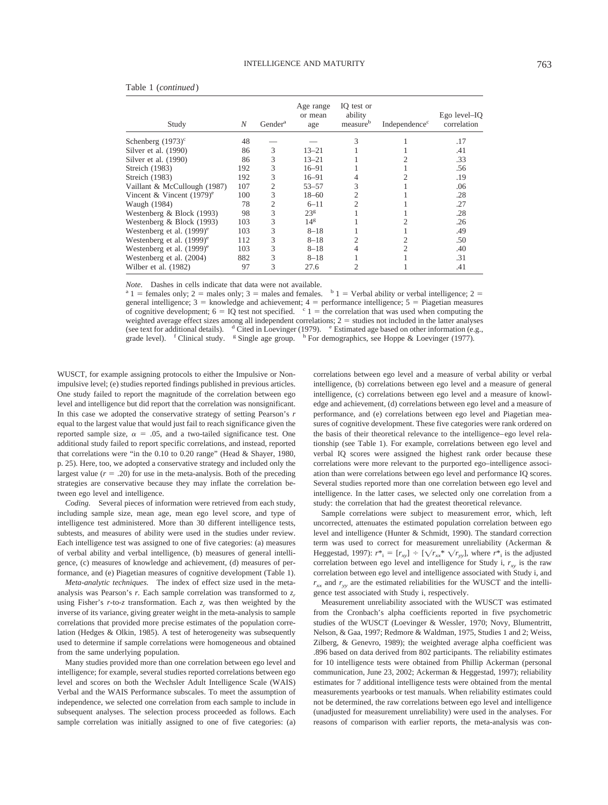| Study                                   | N   | Gender <sup>a</sup> | Age range<br>or mean<br>age | IQ test or<br>ability<br>measureb | Independence <sup>c</sup> | Ego level–IQ<br>correlation |
|-----------------------------------------|-----|---------------------|-----------------------------|-----------------------------------|---------------------------|-----------------------------|
| Schenberg $(1973)^c$                    | 48  |                     |                             | 3                                 |                           | .17                         |
| Silver et al. (1990)                    | 86  | 3                   | $13 - 21$                   |                                   |                           | .41                         |
| Silver et al. (1990)                    | 86  | 3                   | $13 - 21$                   |                                   |                           | .33                         |
| Streich (1983)                          | 192 | 3                   | $16 - 91$                   |                                   |                           | .56                         |
| Streich (1983)                          | 192 | 3                   | $16 - 91$                   | 4                                 |                           | .19                         |
| Vaillant & McCullough (1987)            | 107 | 2                   | $53 - 57$                   | 3                                 |                           | .06                         |
| Vincent & Vincent $(1979)^e$            | 100 | 3                   | $18 - 60$                   | 2                                 |                           | .28                         |
| Waugh (1984)                            | 78  | 2                   | $6 - 11$                    |                                   |                           | .27                         |
| Westenberg & Block (1993)               | 98  | 3                   | 23 <sup>g</sup>             |                                   |                           | .28                         |
| Westenberg & Block (1993)               | 103 | 3                   | 14 <sup>g</sup>             |                                   |                           | .26                         |
| Westenberg et al. $(1999)$ <sup>e</sup> | 103 | 3                   | $8 - 18$                    |                                   |                           | .49                         |
| Westenberg et al. $(1999)$ <sup>e</sup> | 112 | 3                   | $8 - 18$                    |                                   | 2                         | .50                         |
| Westenberg et al. $(1999)$ <sup>e</sup> | 103 | 3                   | $8 - 18$                    | 4                                 | 2                         | .40                         |
| Westenberg et al. (2004)                | 882 | 3                   | $8 - 18$                    |                                   |                           | .31                         |
| Wilber et al. (1982)                    | 97  | 3                   | 27.6                        |                                   |                           | .41                         |

| Table 1 (continued) |  |  |
|---------------------|--|--|
|---------------------|--|--|

*Note.* Dashes in cells indicate that data were not available.<br><sup>a</sup> 1 = females only; 2 = males only; 3 = males and females.  $\frac{b}{1}$  = Verbal ability or verbal intelligence; 2 = general intelligence;  $3 =$  knowledge and achievement;  $4 =$  performance intelligence;  $5 =$  Piagetian measures of cognitive development;  $6 = \text{IQ}$  test not specified.  $\epsilon$  1 = the correlation that was used when computing the weighted average effect sizes among all independent correlations;  $2 =$  studies not included in the latter analyses (see text for additional details).  $d$  Cited in Loevinger (1979).  $e$  Estimated age based on other information (e.g., grade level).  $f$  Clinical study. <sup>g</sup> Single age group.  $h$  For demographics, see Hoppe & Loevinger (1977).

WUSCT, for example assigning protocols to either the Impulsive or Nonimpulsive level; (e) studies reported findings published in previous articles. One study failed to report the magnitude of the correlation between ego level and intelligence but did report that the correlation was nonsignificant. In this case we adopted the conservative strategy of setting Pearson's *r* equal to the largest value that would just fail to reach significance given the reported sample size,  $\alpha = .05$ , and a two-tailed significance test. One additional study failed to report specific correlations, and instead, reported that correlations were "in the 0.10 to 0.20 range" (Head & Shayer, 1980, p. 25). Here, too, we adopted a conservative strategy and included only the largest value  $(r = .20)$  for use in the meta-analysis. Both of the preceding strategies are conservative because they may inflate the correlation between ego level and intelligence.

*Coding.* Several pieces of information were retrieved from each study, including sample size, mean age, mean ego level score, and type of intelligence test administered. More than 30 different intelligence tests, subtests, and measures of ability were used in the studies under review. Each intelligence test was assigned to one of five categories: (a) measures of verbal ability and verbal intelligence, (b) measures of general intelligence, (c) measures of knowledge and achievement, (d) measures of performance, and (e) Piagetian measures of cognitive development (Table 1).

*Meta-analytic techniques.* The index of effect size used in the metaanalysis was Pearson's  $r$ . Each sample correlation was transformed to  $z_r$ using Fisher's  $r$ -to- $z$  transformation. Each  $z_r$  was then weighted by the inverse of its variance, giving greater weight in the meta-analysis to sample correlations that provided more precise estimates of the population correlation (Hedges & Olkin, 1985). A test of heterogeneity was subsequently used to determine if sample correlations were homogeneous and obtained from the same underlying population.

Many studies provided more than one correlation between ego level and intelligence; for example, several studies reported correlations between ego level and scores on both the Wechsler Adult Intelligence Scale (WAIS) Verbal and the WAIS Performance subscales. To meet the assumption of independence, we selected one correlation from each sample to include in subsequent analyses. The selection process proceeded as follows. Each sample correlation was initially assigned to one of five categories: (a)

correlations between ego level and a measure of verbal ability or verbal intelligence, (b) correlations between ego level and a measure of general intelligence, (c) correlations between ego level and a measure of knowledge and achievement, (d) correlations between ego level and a measure of performance, and (e) correlations between ego level and Piagetian measures of cognitive development. These five categories were rank ordered on the basis of their theoretical relevance to the intelligence–ego level relationship (see Table 1). For example, correlations between ego level and verbal IQ scores were assigned the highest rank order because these correlations were more relevant to the purported ego–intelligence association than were correlations between ego level and performance IQ scores. Several studies reported more than one correlation between ego level and intelligence. In the latter cases, we selected only one correlation from a study: the correlation that had the greatest theoretical relevance.

Sample correlations were subject to measurement error, which, left uncorrected, attenuates the estimated population correlation between ego level and intelligence (Hunter & Schmidt, 1990). The standard correction term was used to correct for measurement unreliability (Ackerman & Heggestad, 1997):  $r^*$ <sub>i</sub> =  $[r_{xy}]$  ÷  $[\sqrt{r_{xx}}^* \sqrt{r_{yy}}]$ , where  $r^*$ <sub>i</sub> is the adjusted correlation between ego level and intelligence for Study i,  $r_{xy}$  is the raw correlation between ego level and intelligence associated with Study i, and  $r_{xx}$  and  $r_{yy}$  are the estimated reliabilities for the WUSCT and the intelligence test associated with Study i, respectively.

Measurement unreliability associated with the WUSCT was estimated from the Cronbach's alpha coefficients reported in five psychometric studies of the WUSCT (Loevinger & Wessler, 1970; Novy, Blumentritt, Nelson, & Gaa, 1997; Redmore & Waldman, 1975, Studies 1 and 2; Weiss, Zilberg, & Genevro, 1989); the weighted average alpha coefficient was .896 based on data derived from 802 participants. The reliability estimates for 10 intelligence tests were obtained from Phillip Ackerman (personal communication, June 23, 2002; Ackerman & Heggestad, 1997); reliability estimates for 7 additional intelligence tests were obtained from the mental measurements yearbooks or test manuals. When reliability estimates could not be determined, the raw correlations between ego level and intelligence (unadjusted for measurement unreliability) were used in the analyses. For reasons of comparison with earlier reports, the meta-analysis was con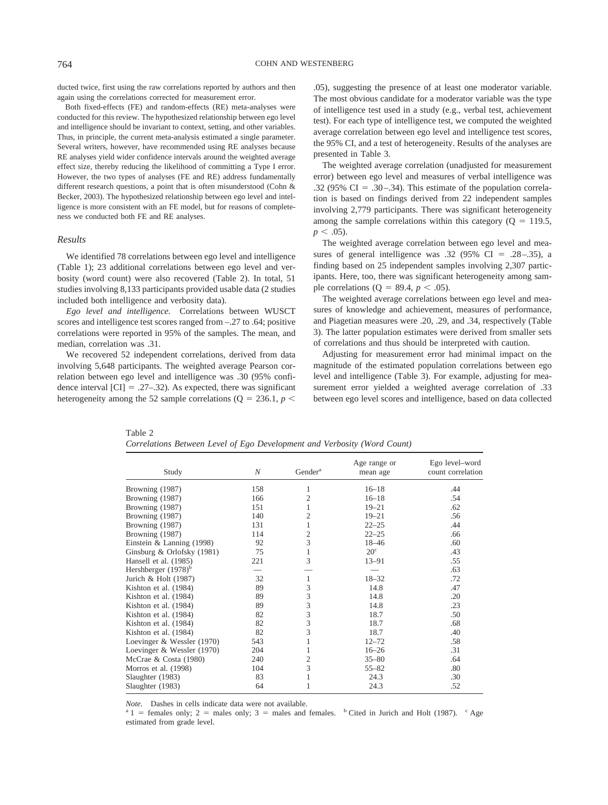ducted twice, first using the raw correlations reported by authors and then again using the correlations corrected for measurement error.

Both fixed-effects (FE) and random-effects (RE) meta-analyses were conducted for this review. The hypothesized relationship between ego level and intelligence should be invariant to context, setting, and other variables. Thus, in principle, the current meta-analysis estimated a single parameter. Several writers, however, have recommended using RE analyses because RE analyses yield wider confidence intervals around the weighted average effect size, thereby reducing the likelihood of committing a Type I error. However, the two types of analyses (FE and RE) address fundamentally different research questions, a point that is often misunderstood (Cohn & Becker, 2003). The hypothesized relationship between ego level and intelligence is more consistent with an FE model, but for reasons of completeness we conducted both FE and RE analyses.

#### *Results*

We identified 78 correlations between ego level and intelligence (Table 1); 23 additional correlations between ego level and verbosity (word count) were also recovered (Table 2). In total, 51 studies involving 8,133 participants provided usable data (2 studies included both intelligence and verbosity data).

*Ego level and intelligence.* Correlations between WUSCT scores and intelligence test scores ranged from –.27 to .64; positive correlations were reported in 95% of the samples. The mean, and median, correlation was .31.

We recovered 52 independent correlations, derived from data involving 5,648 participants. The weighted average Pearson correlation between ego level and intelligence was .30 (95% confidence interval  $\text{[CI]} = .27-.32$ ). As expected, there was significant heterogeneity among the 52 sample correlations ( $Q = 236.1, p <$ 

.05), suggesting the presence of at least one moderator variable. The most obvious candidate for a moderator variable was the type of intelligence test used in a study (e.g., verbal test, achievement test). For each type of intelligence test, we computed the weighted average correlation between ego level and intelligence test scores, the 95% CI, and a test of heterogeneity. Results of the analyses are presented in Table 3.

The weighted average correlation (unadjusted for measurement error) between ego level and measures of verbal intelligence was .32 (95% CI = .30–.34). This estimate of the population correlation is based on findings derived from 22 independent samples involving 2,779 participants. There was significant heterogeneity among the sample correlations within this category  $(Q = 119.5,$  $p < .05$ ).

The weighted average correlation between ego level and measures of general intelligence was .32 (95%  $CI = .28 - .35$ ), a finding based on 25 independent samples involving 2,307 participants. Here, too, there was significant heterogeneity among sample correlations ( $Q = 89.4$ ,  $p < .05$ ).

The weighted average correlations between ego level and measures of knowledge and achievement, measures of performance, and Piagetian measures were .20, .29, and .34, respectively (Table 3). The latter population estimates were derived from smaller sets of correlations and thus should be interpreted with caution.

Adjusting for measurement error had minimal impact on the magnitude of the estimated population correlations between ego level and intelligence (Table 3). For example, adjusting for measurement error yielded a weighted average correlation of .33 between ego level scores and intelligence, based on data collected

| Table 2                                                                  |  |  |  |  |
|--------------------------------------------------------------------------|--|--|--|--|
| Correlations Between Level of Ego Development and Verbosity (Word Count) |  |  |  |  |

| Study                           | N   | Gender <sup>a</sup> | Age range or<br>mean age | Ego level-word<br>count correlation |
|---------------------------------|-----|---------------------|--------------------------|-------------------------------------|
| Browning (1987)                 | 158 | 1                   | $16 - 18$                | .44                                 |
| Browning (1987)                 | 166 | $\overline{2}$      | $16 - 18$                | .54                                 |
| Browning (1987)                 | 151 | 1                   | $19 - 21$                | .62                                 |
| Browning (1987)                 | 140 | 2                   | $19 - 21$                | .56                                 |
| Browning (1987)                 | 131 | 1                   | $22 - 25$                | .44                                 |
| Browning (1987)                 | 114 | $\overline{c}$      | $22 - 25$                | .66                                 |
| Einstein & Lanning $(1998)$     | 92  | 3                   | $18 - 46$                | .60                                 |
| Ginsburg & Orlofsky (1981)      | 75  | 1                   | $20^{\circ}$             | .43                                 |
| Hansell et al. (1985)           | 221 | 3                   | $13 - 91$                | .55                                 |
| Hershberger (1978) <sup>b</sup> |     |                     |                          | .63                                 |
| Jurich & Holt (1987)            | 32  | 1                   | $18 - 32$                | .72                                 |
| Kishton et al. (1984)           | 89  | 3                   | 14.8                     | .47                                 |
| Kishton et al. (1984)           | 89  | 3                   | 14.8                     | .20                                 |
| Kishton et al. (1984)           | 89  | 3                   | 14.8                     | .23                                 |
| Kishton et al. (1984)           | 82  | 3                   | 18.7                     | .50                                 |
| Kishton et al. (1984)           | 82  | 3                   | 18.7                     | .68                                 |
| Kishton et al. (1984)           | 82  | 3                   | 18.7                     | .40                                 |
| Loevinger & Wessler (1970)      | 543 | 1                   | $12 - 72$                | .58                                 |
| Loevinger & Wessler (1970)      | 204 | 1                   | $16 - 26$                | .31                                 |
| McCrae & Costa (1980)           | 240 | $\overline{c}$      | $35 - 80$                | .64                                 |
| Morros et al. (1998)            | 104 | 3                   | $55 - 82$                | .80                                 |
| Slaughter (1983)                | 83  | 1                   | 24.3                     | .30                                 |
| Slaughter (1983)                | 64  | 1                   | 24.3                     | .52                                 |

*Note.* Dashes in cells indicate data were not available.<br>  $a_1 =$  females only; 2 = males only; 3 = males and females.  $b$  Cited in Jurich and Holt (1987).  $c$  Age estimated from grade level.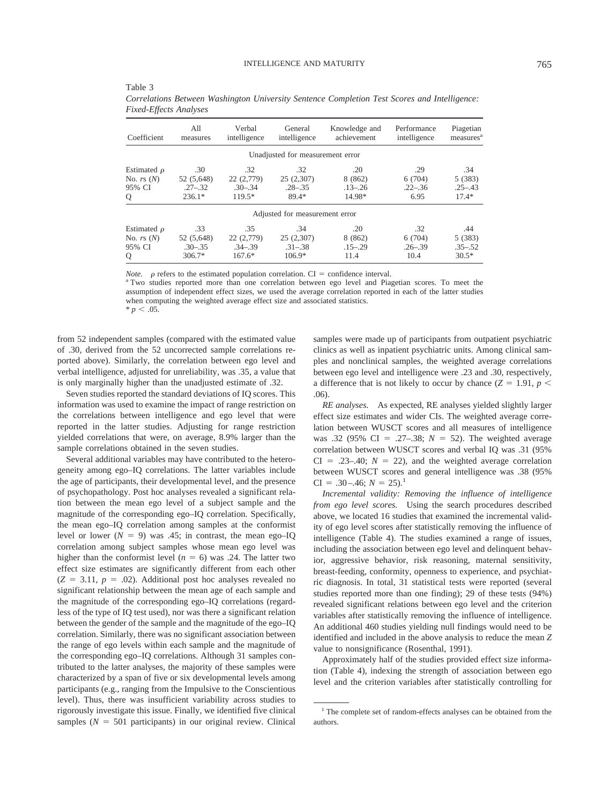| Coefficient      | All<br>measures | Verbal<br>intelligence | General<br>intelligence          | Knowledge and<br>achievement | Performance<br>intelligence | Piagetian<br>measures <sup>a</sup> |
|------------------|-----------------|------------------------|----------------------------------|------------------------------|-----------------------------|------------------------------------|
|                  |                 |                        | Unadjusted for measurement error |                              |                             |                                    |
| Estimated $\rho$ | .30             | .32                    | .32                              | .20                          | .29                         | .34                                |
| No. $rs(N)$      | 52 (5,648)      | 22 (2,779)             | 25(2,307)                        | 8 (862)                      | 6(704)                      | 5(383)                             |
| 95% CI           | $.27 - .32$     | $.30 - .34$            | $.28 - .35$                      | $.13 - .26$                  | $.22 - .36$                 | $.25 - .43$                        |
| О                | $236.1*$        | $119.5*$               | 89.4*                            | 14.98*                       | 6.95                        | $17.4*$                            |

| Table 3                                                                                      |
|----------------------------------------------------------------------------------------------|
| Correlations Between Washington University Sentence Completion Test Scores and Intelligence: |
| <b>Fixed-Effects Analyses</b>                                                                |

*Note.*  $\rho$  refers to the estimated population correlation.  $CI =$  confidence interval.

<sup>a</sup> Two studies reported more than one correlation between ego level and Piagetian scores. To meet the assumption of independent effect sizes, we used the average correlation reported in each of the latter studies when computing the weighted average effect size and associated statistics.  $* p < .05.$ 

Estimated  $\rho$  .33 .35 .34 .20 .32 .44<br>No. rs (N) 52 (5,648) 22 (2,779) 25 (2,307) 8 (862) 6 (704) 5 (383)

95% CI .30–.35 .34–.39 .31–.38 .15–.29 .26–.39 .35–.52 Q  $306.7^*$   $167.6^*$   $106.9^*$   $11.4$   $10.4$   $30.5^*$ 

from 52 independent samples (compared with the estimated value of .30, derived from the 52 uncorrected sample correlations reported above). Similarly, the correlation between ego level and verbal intelligence, adjusted for unreliability, was .35, a value that is only marginally higher than the unadjusted estimate of .32.

No. *rs* (*N*) 52 (5,648)

Seven studies reported the standard deviations of IQ scores. This information was used to examine the impact of range restriction on the correlations between intelligence and ego level that were reported in the latter studies. Adjusting for range restriction yielded correlations that were, on average, 8.9% larger than the sample correlations obtained in the seven studies.

Several additional variables may have contributed to the heterogeneity among ego–IQ correlations. The latter variables include the age of participants, their developmental level, and the presence of psychopathology. Post hoc analyses revealed a significant relation between the mean ego level of a subject sample and the magnitude of the corresponding ego–IQ correlation. Specifically, the mean ego–IQ correlation among samples at the conformist level or lower  $(N = 9)$  was .45; in contrast, the mean ego–IQ correlation among subject samples whose mean ego level was higher than the conformist level  $(n = 6)$  was .24. The latter two effect size estimates are significantly different from each other  $(Z = 3.11, p = .02)$ . Additional post hoc analyses revealed no significant relationship between the mean age of each sample and the magnitude of the corresponding ego–IQ correlations (regardless of the type of IQ test used), nor was there a significant relation between the gender of the sample and the magnitude of the ego–IQ correlation. Similarly, there was no significant association between the range of ego levels within each sample and the magnitude of the corresponding ego–IQ correlations. Although 31 samples contributed to the latter analyses, the majority of these samples were characterized by a span of five or six developmental levels among participants (e.g., ranging from the Impulsive to the Conscientious level). Thus, there was insufficient variability across studies to rigorously investigate this issue. Finally, we identified five clinical samples  $(N = 501$  participants) in our original review. Clinical

samples were made up of participants from outpatient psychiatric clinics as well as inpatient psychiatric units. Among clinical samples and nonclinical samples, the weighted average correlations between ego level and intelligence were .23 and .30, respectively, a difference that is not likely to occur by chance  $(Z = 1.91, p \leq$ .06).

*RE analyses.* As expected, RE analyses yielded slightly larger effect size estimates and wider CIs. The weighted average correlation between WUSCT scores and all measures of intelligence was .32 (95% CI = .27–.38;  $N = 52$ ). The weighted average correlation between WUSCT scores and verbal IQ was .31 (95%  $CI = .23-.40; N = 22$ ), and the weighted average correlation between WUSCT scores and general intelligence was .38 (95%  $CI = .30-.46; N = 25).$ <sup>1</sup>

*Incremental validity: Removing the influence of intelligence from ego level scores.* Using the search procedures described above, we located 16 studies that examined the incremental validity of ego level scores after statistically removing the influence of intelligence (Table 4). The studies examined a range of issues, including the association between ego level and delinquent behavior, aggressive behavior, risk reasoning, maternal sensitivity, breast-feeding, conformity, openness to experience, and psychiatric diagnosis. In total, 31 statistical tests were reported (several studies reported more than one finding); 29 of these tests (94%) revealed significant relations between ego level and the criterion variables after statistically removing the influence of intelligence. An additional 460 studies yielding null findings would need to be identified and included in the above analysis to reduce the mean *Z* value to nonsignificance (Rosenthal, 1991).

Approximately half of the studies provided effect size information (Table 4), indexing the strength of association between ego level and the criterion variables after statistically controlling for

<sup>&</sup>lt;sup>1</sup> The complete set of random-effects analyses can be obtained from the authors.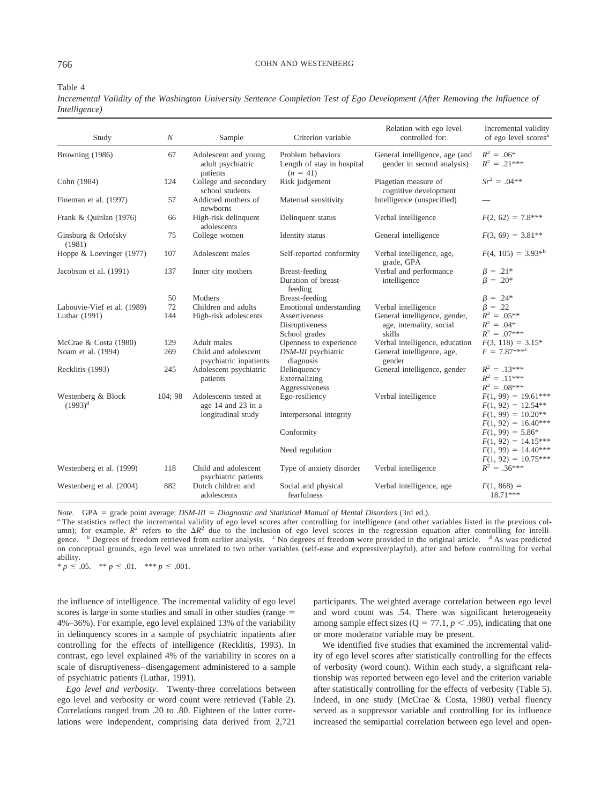#### 766 COHN AND WESTENBERG

Table 4

*Incremental Validity of the Washington University Sentence Completion Test of Ego Development (After Removing the Influence of Intelligence)*

| Study                                        | $\boldsymbol{N}$ | Sample                                                            | Criterion variable                                                          | Relation with ego level<br>controlled for:                                                 | Incremental validity<br>of ego level scores <sup>a</sup>                |
|----------------------------------------------|------------------|-------------------------------------------------------------------|-----------------------------------------------------------------------------|--------------------------------------------------------------------------------------------|-------------------------------------------------------------------------|
| Browning (1986)                              | 67               | Adolescent and young<br>adult psychiatric<br>patients             | Problem behaviors<br>Length of stay in hospital<br>$(n = 41)$               | General intelligence, age (and<br>gender in second analysis)                               | $R^2 = .06^*$<br>$R^2 = .21***$                                         |
| Cohn (1984)                                  | 124              | College and secondary<br>school students                          | Risk judgement                                                              | Piagetian measure of<br>cognitive development                                              | $Sr^2 = .04**$                                                          |
| Fineman et al. (1997)                        | 57               | Addicted mothers of<br>newborns                                   | Maternal sensitivity                                                        | Intelligence (unspecified)                                                                 |                                                                         |
| Frank & Quinlan (1976)                       | 66               | High-risk delinquent<br>adolescents                               | Delinquent status                                                           | Verbal intelligence                                                                        | $F(2, 62) = 7.8***$                                                     |
| Ginsburg & Orlofsky<br>(1981)                | 75               | College women                                                     | Identity status                                                             | General intelligence                                                                       | $F(3, 69) = 3.81**$                                                     |
| Hoppe & Loevinger (1977)                     | 107              | Adolescent males                                                  | Self-reported conformity                                                    | Verbal intelligence, age,<br>grade, GPA                                                    | $F(4, 105) = 3.93^{*b}$                                                 |
| Jacobson et al. (1991)                       | 137              | Inner city mothers                                                | Breast-feeding<br>Duration of breast-<br>feeding                            | Verbal and performance<br>intelligence                                                     | $\beta = .21*$<br>$\beta = .20^*$                                       |
|                                              | 50               | <b>Mothers</b>                                                    | Breast-feeding                                                              |                                                                                            | $\beta = .24*$                                                          |
| Labouvie-Vief et al. (1989)<br>Luthar (1991) | 72<br>144        | Children and adults<br>High-risk adolescents                      | Emotional understanding<br>Assertiveness<br>Disruptiveness<br>School grades | Verbal intelligence<br>General intelligence, gender,<br>age, internality, social<br>skills | $\beta = .22$<br>$R^2 = .05**$<br>$R^2 = .04*$<br>$R^2 = .07***$        |
| McCrae & Costa (1980)                        | 129              | Adult males                                                       | Openness to experience                                                      | Verbal intelligence, education                                                             | $F(3, 118) = 3.15*$                                                     |
| Noam et al. (1994)                           | 269              | Child and adolescent<br>psychiatric inpatients                    | DSM-III psychiatric<br>diagnosis                                            | General intelligence, age,<br>gender                                                       | $F = 7.87***^{\circ}$                                                   |
| Recklitis (1993)                             | 245              | Adolescent psychiatric<br>patients                                | Delinquency<br>Externalizing<br>Aggressiveness                              | General intelligence, gender                                                               | $R^2 = .13***$<br>$R^2 = .11***$<br>$R^2 = .08***$                      |
| Westenberg & Block<br>$(1993)^{d}$           | 104:98           | Adolescents tested at<br>age 14 and 23 in a<br>longitudinal study | Ego-resiliency<br>Interpersonal integrity                                   | Verbal intelligence                                                                        | $F(1, 99) = 19.61***$<br>$F(1, 92) = 12.54**$<br>$F(1, 99) = 10.20**$   |
|                                              |                  |                                                                   | Conformity                                                                  |                                                                                            | $F(1, 92) = 16.40***$<br>$F(1, 99) = 5.86*$                             |
|                                              |                  |                                                                   | Need regulation                                                             |                                                                                            | $F(1, 92) = 14.15***$<br>$F(1, 99) = 14.40***$<br>$F(1, 92) = 10.75***$ |
| Westenberg et al. (1999)                     | 118              | Child and adolescent<br>psychiatric patients                      | Type of anxiety disorder                                                    | Verbal intelligence                                                                        | $R^2 = .36***$                                                          |
| Westenberg et al. (2004)                     | 882              | Dutch children and<br>adolescents                                 | Social and physical<br>fearfulness                                          | Verbal intelligence, age                                                                   | $F(1, 868) =$<br>$18.71***$                                             |

*Note.* GPA = grade point average;  $DSM-III$  =

<sup>a</sup> The statistics reflect the incremental validity of ego level scores after controlling for intelligence (and other variables listed in the previous column); for example,  $R^2$  refers to the  $\Delta R^2$  due to the inclusion of ego level scores in the regression equation after controlling for intelligence. <sup>b</sup> Degrees of freedom retrieved from earlier analysis. <sup>c</sup> No degrees of freedom were provided in the original article. <sup>d</sup> As was predicted on conceptual grounds, ego level was unrelated to two other variables (self-ease and expressive/playful), after and before controlling for verbal ability.

 $* p \leq .05.$   $* p \leq .01.$   $* p \leq .001.$ 

the influence of intelligence. The incremental validity of ego level scores is large in some studies and small in other studies (range  $=$ 4%–36%). For example, ego level explained 13% of the variability in delinquency scores in a sample of psychiatric inpatients after controlling for the effects of intelligence (Recklitis, 1993). In contrast, ego level explained 4% of the variability in scores on a scale of disruptiveness–disengagement administered to a sample of psychiatric patients (Luthar, 1991).

*Ego level and verbosity.* Twenty-three correlations between ego level and verbosity or word count were retrieved (Table 2). Correlations ranged from .20 to .80. Eighteen of the latter correlations were independent, comprising data derived from 2,721

participants. The weighted average correlation between ego level and word count was .54. There was significant heterogeneity among sample effect sizes ( $Q = 77.1, p < .05$ ), indicating that one or more moderator variable may be present.

We identified five studies that examined the incremental validity of ego level scores after statistically controlling for the effects of verbosity (word count). Within each study, a significant relationship was reported between ego level and the criterion variable after statistically controlling for the effects of verbosity (Table 5). Indeed, in one study (McCrae & Costa, 1980) verbal fluency served as a suppressor variable and controlling for its influence increased the semipartial correlation between ego level and open-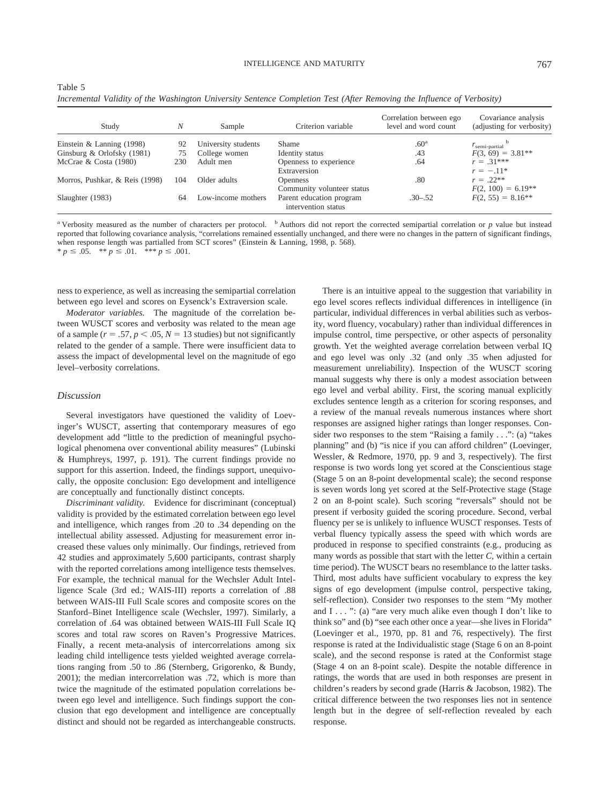#### INTELLIGENCE AND MATURITY

| e e<br>I | v<br>۰.<br>v |  |
|----------|--------------|--|
|          |              |  |

| Table 5 |                                                                                                                        |  |  |  |  |  |
|---------|------------------------------------------------------------------------------------------------------------------------|--|--|--|--|--|
|         | Incremental Validity of the Washington University Sentence Completion Test (After Removing the Influence of Verbosity) |  |  |  |  |  |

| Study                          | N   | Sample              | Criterion variable                              | Correlation between ego<br>level and word count | Covariance analysis<br>(adjusting for verbosity) |
|--------------------------------|-----|---------------------|-------------------------------------------------|-------------------------------------------------|--------------------------------------------------|
| Einstein & Lanning $(1998)$    | 92  | University students | Shame                                           | .60 <sup>a</sup>                                | $r_{\rm semi-partial}$                           |
| Ginsburg & Orlofsky (1981)     | 75  | College women       | Identity status                                 | .43                                             | $F(3, 69) = 3.81**$                              |
| McCrae & Costa $(1980)$        | 230 | Adult men           | Openness to experience                          | .64                                             | $r = .31***$                                     |
|                                |     |                     | Extraversion                                    |                                                 | $r = -11*$                                       |
| Morros, Pushkar, & Reis (1998) | 104 | Older adults        | <b>Openness</b>                                 | .80                                             | $r = .22**$                                      |
|                                |     |                     | Community volunteer status                      |                                                 | $F(2, 100) = 6.19**$                             |
| Slaughter (1983)               | 64  | Low-income mothers  | Parent education program<br>intervention status | $.30 - .52$                                     | $F(2, 55) = 8.16**$                              |

<sup>a</sup> Verbosity measured as the number of characters per protocol. <sup>b</sup> Authors did not report the corrected semipartial correlation or *p* value but instead reported that following covariance analysis, "correlations remained essentially unchanged, and there were no changes in the pattern of significant findings, when response length was partialled from SCT scores" (Einstein & Lanning, 1998, p. 568).  $* p \leq .05.$   $* p \leq .01.$   $* p \leq .001.$ 

ness to experience, as well as increasing the semipartial correlation between ego level and scores on Eysenck's Extraversion scale.

*Moderator variables.* The magnitude of the correlation between WUSCT scores and verbosity was related to the mean age of a sample ( $r = .57$ ,  $p < .05$ ,  $N = 13$  studies) but not significantly related to the gender of a sample. There were insufficient data to assess the impact of developmental level on the magnitude of ego level–verbosity correlations.

# *Discussion*

Several investigators have questioned the validity of Loevinger's WUSCT, asserting that contemporary measures of ego development add "little to the prediction of meaningful psychological phenomena over conventional ability measures" (Lubinski & Humphreys, 1997, p. 191). The current findings provide no support for this assertion. Indeed, the findings support, unequivocally, the opposite conclusion: Ego development and intelligence are conceptually and functionally distinct concepts.

*Discriminant validity.* Evidence for discriminant (conceptual) validity is provided by the estimated correlation between ego level and intelligence, which ranges from .20 to .34 depending on the intellectual ability assessed. Adjusting for measurement error increased these values only minimally. Our findings, retrieved from 42 studies and approximately 5,600 participants, contrast sharply with the reported correlations among intelligence tests themselves. For example, the technical manual for the Wechsler Adult Intelligence Scale (3rd ed.; WAIS-III) reports a correlation of .88 between WAIS-III Full Scale scores and composite scores on the Stanford–Binet Intelligence scale (Wechsler, 1997). Similarly, a correlation of .64 was obtained between WAIS-III Full Scale IQ scores and total raw scores on Raven's Progressive Matrices. Finally, a recent meta-analysis of intercorrelations among six leading child intelligence tests yielded weighted average correlations ranging from .50 to .86 (Sternberg, Grigorenko, & Bundy, 2001); the median intercorrelation was .72, which is more than twice the magnitude of the estimated population correlations between ego level and intelligence. Such findings support the conclusion that ego development and intelligence are conceptually distinct and should not be regarded as interchangeable constructs.

There is an intuitive appeal to the suggestion that variability in ego level scores reflects individual differences in intelligence (in particular, individual differences in verbal abilities such as verbosity, word fluency, vocabulary) rather than individual differences in impulse control, time perspective, or other aspects of personality growth. Yet the weighted average correlation between verbal IQ and ego level was only .32 (and only .35 when adjusted for measurement unreliability). Inspection of the WUSCT scoring manual suggests why there is only a modest association between ego level and verbal ability. First, the scoring manual explicitly excludes sentence length as a criterion for scoring responses, and a review of the manual reveals numerous instances where short responses are assigned higher ratings than longer responses. Consider two responses to the stem "Raising a family . . .": (a) "takes planning" and (b) "is nice if you can afford children" (Loevinger, Wessler, & Redmore, 1970, pp. 9 and 3, respectively). The first response is two words long yet scored at the Conscientious stage (Stage 5 on an 8-point developmental scale); the second response is seven words long yet scored at the Self-Protective stage (Stage 2 on an 8-point scale). Such scoring "reversals" should not be present if verbosity guided the scoring procedure. Second, verbal fluency per se is unlikely to influence WUSCT responses. Tests of verbal fluency typically assess the speed with which words are produced in response to specified constraints (e.g., producing as many words as possible that start with the letter *C,* within a certain time period). The WUSCT bears no resemblance to the latter tasks. Third, most adults have sufficient vocabulary to express the key signs of ego development (impulse control, perspective taking, self-reflection). Consider two responses to the stem "My mother and  $I \ldots$  ": (a) "are very much alike even though I don't like to think so" and (b) "see each other once a year—she lives in Florida" (Loevinger et al., 1970, pp. 81 and 76, respectively). The first response is rated at the Individualistic stage (Stage 6 on an 8-point scale), and the second response is rated at the Conformist stage (Stage 4 on an 8-point scale). Despite the notable difference in ratings, the words that are used in both responses are present in children's readers by second grade (Harris & Jacobson, 1982). The critical difference between the two responses lies not in sentence length but in the degree of self-reflection revealed by each response.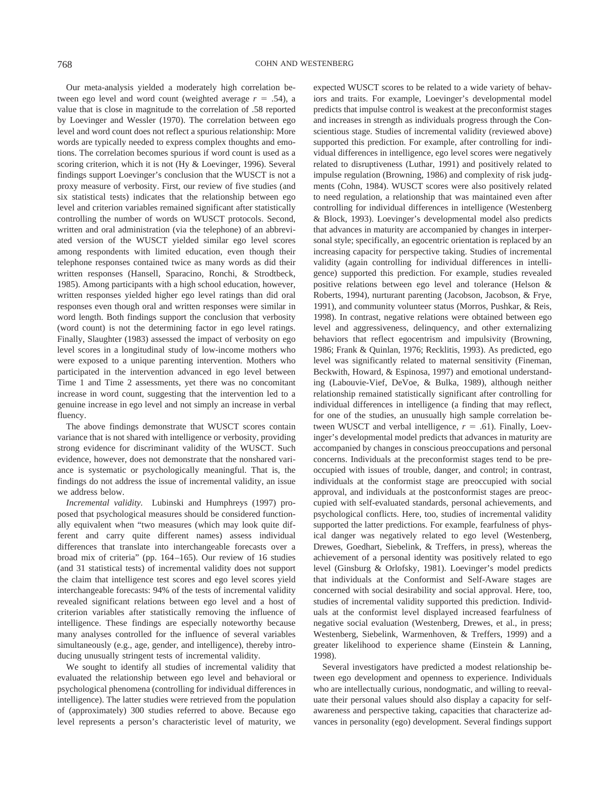Our meta-analysis yielded a moderately high correlation between ego level and word count (weighted average  $r = .54$ ), a value that is close in magnitude to the correlation of .58 reported by Loevinger and Wessler (1970). The correlation between ego level and word count does not reflect a spurious relationship: More words are typically needed to express complex thoughts and emotions. The correlation becomes spurious if word count is used as a scoring criterion, which it is not (Hy & Loevinger, 1996). Several findings support Loevinger's conclusion that the WUSCT is not a proxy measure of verbosity. First, our review of five studies (and six statistical tests) indicates that the relationship between ego level and criterion variables remained significant after statistically controlling the number of words on WUSCT protocols. Second, written and oral administration (via the telephone) of an abbreviated version of the WUSCT yielded similar ego level scores among respondents with limited education, even though their telephone responses contained twice as many words as did their written responses (Hansell, Sparacino, Ronchi, & Strodtbeck, 1985). Among participants with a high school education, however, written responses yielded higher ego level ratings than did oral responses even though oral and written responses were similar in word length. Both findings support the conclusion that verbosity (word count) is not the determining factor in ego level ratings. Finally, Slaughter (1983) assessed the impact of verbosity on ego level scores in a longitudinal study of low-income mothers who were exposed to a unique parenting intervention. Mothers who participated in the intervention advanced in ego level between Time 1 and Time 2 assessments, yet there was no concomitant increase in word count, suggesting that the intervention led to a genuine increase in ego level and not simply an increase in verbal fluency.

The above findings demonstrate that WUSCT scores contain variance that is not shared with intelligence or verbosity, providing strong evidence for discriminant validity of the WUSCT. Such evidence, however, does not demonstrate that the nonshared variance is systematic or psychologically meaningful. That is, the findings do not address the issue of incremental validity, an issue we address below.

*Incremental validity.* Lubinski and Humphreys (1997) proposed that psychological measures should be considered functionally equivalent when "two measures (which may look quite different and carry quite different names) assess individual differences that translate into interchangeable forecasts over a broad mix of criteria" (pp. 164–165). Our review of 16 studies (and 31 statistical tests) of incremental validity does not support the claim that intelligence test scores and ego level scores yield interchangeable forecasts: 94% of the tests of incremental validity revealed significant relations between ego level and a host of criterion variables after statistically removing the influence of intelligence. These findings are especially noteworthy because many analyses controlled for the influence of several variables simultaneously (e.g., age, gender, and intelligence), thereby introducing unusually stringent tests of incremental validity.

We sought to identify all studies of incremental validity that evaluated the relationship between ego level and behavioral or psychological phenomena (controlling for individual differences in intelligence). The latter studies were retrieved from the population of (approximately) 300 studies referred to above. Because ego level represents a person's characteristic level of maturity, we expected WUSCT scores to be related to a wide variety of behaviors and traits. For example, Loevinger's developmental model predicts that impulse control is weakest at the preconformist stages and increases in strength as individuals progress through the Conscientious stage. Studies of incremental validity (reviewed above) supported this prediction. For example, after controlling for individual differences in intelligence, ego level scores were negatively related to disruptiveness (Luthar, 1991) and positively related to impulse regulation (Browning, 1986) and complexity of risk judgments (Cohn, 1984). WUSCT scores were also positively related to need regulation, a relationship that was maintained even after controlling for individual differences in intelligence (Westenberg & Block, 1993). Loevinger's developmental model also predicts that advances in maturity are accompanied by changes in interpersonal style; specifically, an egocentric orientation is replaced by an increasing capacity for perspective taking. Studies of incremental validity (again controlling for individual differences in intelligence) supported this prediction. For example, studies revealed positive relations between ego level and tolerance (Helson & Roberts, 1994), nurturant parenting (Jacobson, Jacobson, & Frye, 1991), and community volunteer status (Morros, Pushkar, & Reis, 1998). In contrast, negative relations were obtained between ego level and aggressiveness, delinquency, and other externalizing behaviors that reflect egocentrism and impulsivity (Browning, 1986; Frank & Quinlan, 1976; Recklitis, 1993). As predicted, ego level was significantly related to maternal sensitivity (Fineman, Beckwith, Howard, & Espinosa, 1997) and emotional understanding (Labouvie-Vief, DeVoe, & Bulka, 1989), although neither relationship remained statistically significant after controlling for individual differences in intelligence (a finding that may reflect, for one of the studies, an unusually high sample correlation between WUSCT and verbal intelligence,  $r = .61$ ). Finally, Loevinger's developmental model predicts that advances in maturity are accompanied by changes in conscious preoccupations and personal concerns. Individuals at the preconformist stages tend to be preoccupied with issues of trouble, danger, and control; in contrast, individuals at the conformist stage are preoccupied with social approval, and individuals at the postconformist stages are preoccupied with self-evaluated standards, personal achievements, and psychological conflicts. Here, too, studies of incremental validity supported the latter predictions. For example, fearfulness of physical danger was negatively related to ego level (Westenberg, Drewes, Goedhart, Siebelink, & Treffers, in press), whereas the achievement of a personal identity was positively related to ego level (Ginsburg & Orlofsky, 1981). Loevinger's model predicts that individuals at the Conformist and Self-Aware stages are concerned with social desirability and social approval. Here, too, studies of incremental validity supported this prediction. Individuals at the conformist level displayed increased fearfulness of negative social evaluation (Westenberg, Drewes, et al., in press; Westenberg, Siebelink, Warmenhoven, & Treffers, 1999) and a greater likelihood to experience shame (Einstein & Lanning, 1998).

Several investigators have predicted a modest relationship between ego development and openness to experience. Individuals who are intellectually curious, nondogmatic, and willing to reevaluate their personal values should also display a capacity for selfawareness and perspective taking, capacities that characterize advances in personality (ego) development. Several findings support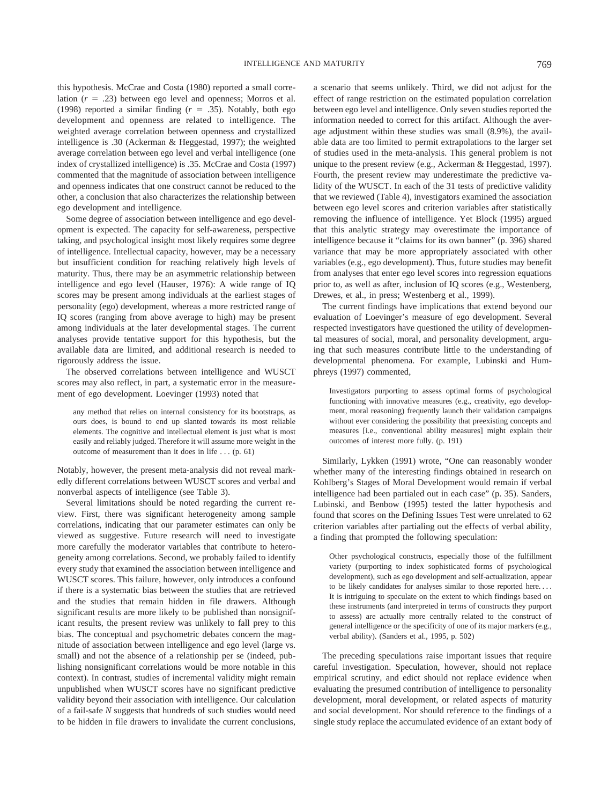this hypothesis. McCrae and Costa (1980) reported a small correlation  $(r = .23)$  between ego level and openness; Morros et al. (1998) reported a similar finding  $(r = .35)$ . Notably, both ego development and openness are related to intelligence. The weighted average correlation between openness and crystallized intelligence is .30 (Ackerman & Heggestad, 1997); the weighted average correlation between ego level and verbal intelligence (one index of crystallized intelligence) is .35. McCrae and Costa (1997) commented that the magnitude of association between intelligence and openness indicates that one construct cannot be reduced to the other, a conclusion that also characterizes the relationship between ego development and intelligence.

Some degree of association between intelligence and ego development is expected. The capacity for self-awareness, perspective taking, and psychological insight most likely requires some degree of intelligence. Intellectual capacity, however, may be a necessary but insufficient condition for reaching relatively high levels of maturity. Thus, there may be an asymmetric relationship between intelligence and ego level (Hauser, 1976): A wide range of IQ scores may be present among individuals at the earliest stages of personality (ego) development, whereas a more restricted range of IQ scores (ranging from above average to high) may be present among individuals at the later developmental stages. The current analyses provide tentative support for this hypothesis, but the available data are limited, and additional research is needed to rigorously address the issue.

The observed correlations between intelligence and WUSCT scores may also reflect, in part, a systematic error in the measurement of ego development. Loevinger (1993) noted that

any method that relies on internal consistency for its bootstraps, as ours does, is bound to end up slanted towards its most reliable elements. The cognitive and intellectual element is just what is most easily and reliably judged. Therefore it will assume more weight in the outcome of measurement than it does in life . . . (p. 61)

Notably, however, the present meta-analysis did not reveal markedly different correlations between WUSCT scores and verbal and nonverbal aspects of intelligence (see Table 3).

Several limitations should be noted regarding the current review. First, there was significant heterogeneity among sample correlations, indicating that our parameter estimates can only be viewed as suggestive. Future research will need to investigate more carefully the moderator variables that contribute to heterogeneity among correlations. Second, we probably failed to identify every study that examined the association between intelligence and WUSCT scores. This failure, however, only introduces a confound if there is a systematic bias between the studies that are retrieved and the studies that remain hidden in file drawers. Although significant results are more likely to be published than nonsignificant results, the present review was unlikely to fall prey to this bias. The conceptual and psychometric debates concern the magnitude of association between intelligence and ego level (large vs. small) and not the absence of a relationship per se (indeed, publishing nonsignificant correlations would be more notable in this context). In contrast, studies of incremental validity might remain unpublished when WUSCT scores have no significant predictive validity beyond their association with intelligence. Our calculation of a fail-safe *N* suggests that hundreds of such studies would need to be hidden in file drawers to invalidate the current conclusions, a scenario that seems unlikely. Third, we did not adjust for the effect of range restriction on the estimated population correlation between ego level and intelligence. Only seven studies reported the information needed to correct for this artifact. Although the average adjustment within these studies was small (8.9%), the available data are too limited to permit extrapolations to the larger set of studies used in the meta-analysis. This general problem is not unique to the present review (e.g., Ackerman & Heggestad, 1997). Fourth, the present review may underestimate the predictive validity of the WUSCT. In each of the 31 tests of predictive validity that we reviewed (Table 4), investigators examined the association between ego level scores and criterion variables after statistically removing the influence of intelligence. Yet Block (1995) argued that this analytic strategy may overestimate the importance of intelligence because it "claims for its own banner" (p. 396) shared variance that may be more appropriately associated with other variables (e.g., ego development). Thus, future studies may benefit from analyses that enter ego level scores into regression equations prior to, as well as after, inclusion of IQ scores (e.g., Westenberg, Drewes, et al., in press; Westenberg et al., 1999).

The current findings have implications that extend beyond our evaluation of Loevinger's measure of ego development. Several respected investigators have questioned the utility of developmental measures of social, moral, and personality development, arguing that such measures contribute little to the understanding of developmental phenomena. For example, Lubinski and Humphreys (1997) commented,

Investigators purporting to assess optimal forms of psychological functioning with innovative measures (e.g., creativity, ego development, moral reasoning) frequently launch their validation campaigns without ever considering the possibility that preexisting concepts and measures [i.e., conventional ability measures] might explain their outcomes of interest more fully. (p. 191)

Similarly, Lykken (1991) wrote, "One can reasonably wonder whether many of the interesting findings obtained in research on Kohlberg's Stages of Moral Development would remain if verbal intelligence had been partialed out in each case" (p. 35). Sanders, Lubinski, and Benbow (1995) tested the latter hypothesis and found that scores on the Defining Issues Test were unrelated to 62 criterion variables after partialing out the effects of verbal ability, a finding that prompted the following speculation:

Other psychological constructs, especially those of the fulfillment variety (purporting to index sophisticated forms of psychological development), such as ego development and self-actualization, appear to be likely candidates for analyses similar to those reported here.... It is intriguing to speculate on the extent to which findings based on these instruments (and interpreted in terms of constructs they purport to assess) are actually more centrally related to the construct of general intelligence or the specificity of one of its major markers (e.g., verbal ability). (Sanders et al., 1995, p. 502)

The preceding speculations raise important issues that require careful investigation. Speculation, however, should not replace empirical scrutiny, and edict should not replace evidence when evaluating the presumed contribution of intelligence to personality development, moral development, or related aspects of maturity and social development. Nor should reference to the findings of a single study replace the accumulated evidence of an extant body of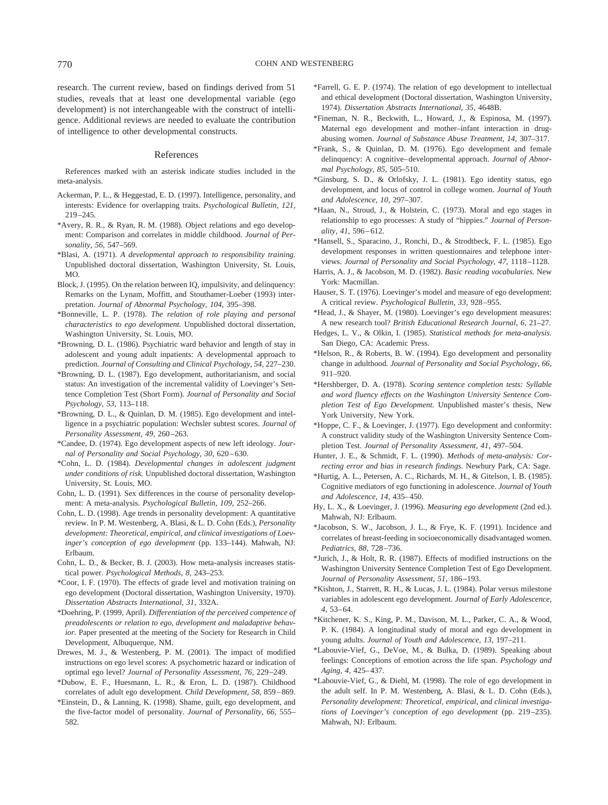research. The current review, based on findings derived from 51 studies, reveals that at least one developmental variable (ego development) is not interchangeable with the construct of intelligence. Additional reviews are needed to evaluate the contribution of intelligence to other developmental constructs.

#### References

References marked with an asterisk indicate studies included in the meta-analysis.

- Ackerman, P. L., & Heggestad, E. D. (1997). Intelligence, personality, and interests: Evidence for overlapping traits. *Psychological Bulletin, 121,* 219–245.
- \*Avery, R. R., & Ryan, R. M. (1988). Object relations and ego development: Comparison and correlates in middle childhood. *Journal of Personality, 56,* 547–569.
- \*Blasi, A. (1971). *A developmental approach to responsibility training.* Unpublished doctoral dissertation, Washington University, St. Louis, MO.
- Block, J. (1995). On the relation between IQ, impulsivity, and delinquency: Remarks on the Lynam, Moffitt, and Stouthamer-Loeber (1993) interpretation. *Journal of Abnormal Psychology, 104,* 395–398.
- \*Bonneville, L. P. (1978). *The relation of role playing and personal characteristics to ego development.* Unpublished doctoral dissertation, Washington University, St. Louis, MO.
- \*Browning, D. L. (1986). Psychiatric ward behavior and length of stay in adolescent and young adult inpatients: A developmental approach to prediction. *Journal of Consulting and Clinical Psychology, 54,* 227–230.
- \*Browning, D. L. (1987). Ego development, authoritarianism, and social status: An investigation of the incremental validity of Loevinger's Sentence Completion Test (Short Form). *Journal of Personality and Social Psychology, 53,* 113–118.
- \*Browning, D. L., & Quinlan, D. M. (1985). Ego development and intelligence in a psychiatric population: Wechsler subtest scores. *Journal of Personality Assessment, 49,* 260–263.
- \*Candee, D. (1974). Ego development aspects of new left ideology. *Journal of Personality and Social Psychology, 30,* 620–630.
- \*Cohn, L. D. (1984). *Developmental changes in adolescent judgment under conditions of risk.* Unpublished doctoral dissertation, Washington University, St. Louis, MO.
- Cohn, L. D. (1991). Sex differences in the course of personality development: A meta-analysis. *Psychological Bulletin, 109,* 252–266.
- Cohn, L. D. (1998). Age trends in personality development: A quantitative review. In P. M. Westenberg, A. Blasi, & L. D. Cohn (Eds.), *Personality development: Theoretical, empirical, and clinical investigations of Loevinger's conception of ego development* (pp. 133–144). Mahwah, NJ: Erlbaum.
- Cohn, L. D., & Becker, B. J. (2003). How meta-analysis increases statistical power. *Psychological Methods, 8,* 243–253.
- \*Coor, I. F. (1970). The effects of grade level and motivation training on ego development (Doctoral dissertation, Washington University, 1970). *Dissertation Abstracts International, 31,* 332A.
- \*Doehring, P. (1999, April). *Differentiation of the perceived competence of preadolescents or relation to ego, development and maladaptive behavior.* Paper presented at the meeting of the Society for Research in Child Development, Albuquerque, NM.
- Drewes, M. J., & Westenberg, P. M. (2001). The impact of modified instructions on ego level scores: A psychometric hazard or indication of optimal ego level? *Journal of Personality Assessment, 76,* 229–249.
- \*Dubow, E. F., Huesmann, L. R., & Eron, L. D. (1987). Childhood correlates of adult ego development. *Child Development, 58,* 859–869.
- \*Einstein, D., & Lanning, K. (1998). Shame, guilt, ego development, and the five-factor model of personality. *Journal of Personality, 66,* 555– 582.
- \*Farrell, G. E. P. (1974). The relation of ego development to intellectual and ethical development (Doctoral dissertation, Washington University, 1974). *Dissertation Abstracts International, 35,* 4648B.
- \*Fineman, N. R., Beckwith, L., Howard, J., & Espinosa, M. (1997). Maternal ego development and mother–infant interaction in drugabusing women. *Journal of Substance Abuse Treatment, 14,* 307–317.
- \*Frank, S., & Quinlan, D. M. (1976). Ego development and female delinquency: A cognitive–developmental approach. *Journal of Abnormal Psychology, 85,* 505–510.
- \*Ginsburg, S. D., & Orlofsky, J. L. (1981). Ego identity status, ego development, and locus of control in college women. *Journal of Youth and Adolescence, 10,* 297–307.
- \*Haan, N., Stroud, J., & Holstein, C. (1973). Moral and ego stages in relationship to ego processes: A study of "hippies." *Journal of Personality, 41,* 596–612.
- \*Hansell, S., Sparacino, J., Ronchi, D., & Strodtbeck, F. L. (1985). Ego development responses in written questionnaires and telephone interviews. *Journal of Personality and Social Psychology, 47,* 1118–1128.
- Harris, A. J., & Jacobson, M. D. (1982). *Basic reading vocabularies.* New York: Macmillan.
- Hauser, S. T. (1976). Loevinger's model and measure of ego development: A critical review. *Psychological Bulletin, 33,* 928–955.
- \*Head, J., & Shayer, M. (1980). Loevinger's ego development measures: A new research tool? *British Educational Research Journal, 6,* 21–27.
- Hedges, L. V., & Olkin, I. (1985). *Statistical methods for meta-analysis.* San Diego, CA: Academic Press.
- \*Helson, R., & Roberts, B. W. (1994). Ego development and personality change in adulthood. *Journal of Personality and Social Psychology, 66,* 911–920.
- \*Hershberger, D. A. (1978). *Scoring sentence completion tests: Syllable and word fluency effects on the Washington University Sentence Completion Test of Ego Development.* Unpublished master's thesis, New York University, New York.
- \*Hoppe, C. F., & Loevinger, J. (1977). Ego development and conformity: A construct validity study of the Washington University Sentence Completion Test. *Journal of Personality Assessment, 41,* 497–504.
- Hunter, J. E., & Schmidt, F. L. (1990). *Methods of meta-analysis: Correcting error and bias in research findings.* Newbury Park, CA: Sage.
- \*Hurtig, A. L., Petersen, A. C., Richards, M. H., & Gitelson, I. B. (1985). Cognitive mediators of ego functioning in adolescence. *Journal of Youth and Adolescence, 14,* 435–450.
- Hy, L. X., & Loevinger, J. (1996). *Measuring ego development* (2nd ed.). Mahwah, NJ: Erlbaum.
- \*Jacobson, S. W., Jacobson, J. L., & Frye, K. F. (1991). Incidence and correlates of breast-feeding in socioeconomically disadvantaged women. *Pediatrics, 88,* 728–736.
- \*Jurich, J., & Holt, R. R. (1987). Effects of modified instructions on the Washington University Sentence Completion Test of Ego Development. *Journal of Personality Assessment, 51,* 186–193.
- \*Kishton, J., Starrett, R. H., & Lucas, J. L. (1984). Polar versus milestone variables in adolescent ego development. *Journal of Early Adolescence, 4,* 53–64.
- \*Kitchener, K. S., King, P. M., Davison, M. L., Parker, C. A., & Wood, P. K. (1984). A longitudinal study of moral and ego development in young adults. *Journal of Youth and Adolescence, 13,* 197–211.
- \*Labouvie-Vief, G., DeVoe, M., & Bulka, D. (1989). Speaking about feelings: Conceptions of emotion across the life span. *Psychology and Aging, 4,* 425–437.
- \*Labouvie-Vief, G., & Diehl, M. (1998). The role of ego development in the adult self. In P. M. Westenberg, A. Blasi, & L. D. Cohn (Eds.), *Personality development: Theoretical, empirical, and clinical investigations of Loevinger's conception of ego development* (pp. 219–235). Mahwah, NJ: Erlbaum.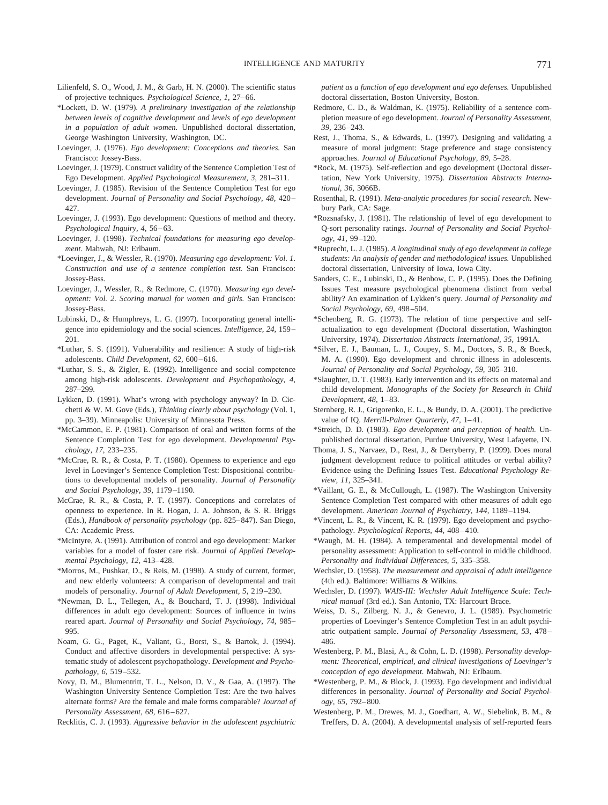- Lilienfeld, S. O., Wood, J. M., & Garb, H. N. (2000). The scientific status of projective techniques. *Psychological Science, 1,* 27–66.
- \*Lockett, D. W. (1979). *A preliminary investigation of the relationship between levels of cognitive development and levels of ego development in a population of adult women.* Unpublished doctoral dissertation, George Washington University, Washington, DC.
- Loevinger, J. (1976). *Ego development: Conceptions and theories.* San Francisco: Jossey-Bass.
- Loevinger, J. (1979). Construct validity of the Sentence Completion Test of Ego Development. *Applied Psychological Measurement, 3,* 281–311.
- Loevinger, J. (1985). Revision of the Sentence Completion Test for ego development. *Journal of Personality and Social Psychology, 48,* 420– 427.
- Loevinger, J. (1993). Ego development: Questions of method and theory. *Psychological Inquiry, 4,* 56–63.
- Loevinger, J. (1998). *Technical foundations for measuring ego development.* Mahwah, NJ: Erlbaum.
- \*Loevinger, J., & Wessler, R. (1970). *Measuring ego development: Vol. 1. Construction and use of a sentence completion test.* San Francisco: Jossey-Bass.
- Loevinger, J., Wessler, R., & Redmore, C. (1970). *Measuring ego development: Vol. 2. Scoring manual for women and girls.* San Francisco: Jossey-Bass.
- Lubinski, D., & Humphreys, L. G. (1997). Incorporating general intelligence into epidemiology and the social sciences. *Intelligence, 24,* 159– 201.
- \*Luthar, S. S. (1991). Vulnerability and resilience: A study of high-risk adolescents. *Child Development, 62,* 600–616.
- \*Luthar, S. S., & Zigler, E. (1992). Intelligence and social competence among high-risk adolescents. *Development and Psychopathology, 4,* 287–299.
- Lykken, D. (1991). What's wrong with psychology anyway? In D. Cicchetti & W. M. Gove (Eds.), *Thinking clearly about psychology* (Vol. 1, pp. 3–39). Minneapolis: University of Minnesota Press.
- \*McCammon, E. P. (1981). Comparison of oral and written forms of the Sentence Completion Test for ego development. *Developmental Psychology, 17,* 233–235.
- \*McCrae, R. R., & Costa, P. T. (1980). Openness to experience and ego level in Loevinger's Sentence Completion Test: Dispositional contributions to developmental models of personality. *Journal of Personality and Social Psychology, 39,* 1179–1190.
- McCrae, R. R., & Costa, P. T. (1997). Conceptions and correlates of openness to experience. In R. Hogan, J. A. Johnson, & S. R. Briggs (Eds.), *Handbook of personality psychology* (pp. 825–847). San Diego, CA: Academic Press.
- \*McIntyre, A. (1991). Attribution of control and ego development: Marker variables for a model of foster care risk. *Journal of Applied Developmental Psychology, 12,* 413–428.
- \*Morros, M., Pushkar, D., & Reis, M. (1998). A study of current, former, and new elderly volunteers: A comparison of developmental and trait models of personality. *Journal of Adult Development, 5,* 219–230.
- \*Newman, D. L., Tellegen, A., & Bouchard, T. J. (1998). Individual differences in adult ego development: Sources of influence in twins reared apart. *Journal of Personality and Social Psychology, 74,* 985– 995.
- Noam, G. G., Paget, K., Valiant, G., Borst, S., & Bartok, J. (1994). Conduct and affective disorders in developmental perspective: A systematic study of adolescent psychopathology. *Development and Psychopathology, 6,* 519–532.
- Novy, D. M., Blumentritt, T. L., Nelson, D. V., & Gaa, A. (1997). The Washington University Sentence Completion Test: Are the two halves alternate forms? Are the female and male forms comparable? *Journal of Personality Assessment, 68,* 616–627.

Recklitis, C. J. (1993). *Aggressive behavior in the adolescent psychiatric*

*patient as a function of ego development and ego defenses.* Unpublished doctoral dissertation, Boston University, Boston.

- Redmore, C. D., & Waldman, K. (1975). Reliability of a sentence completion measure of ego development. *Journal of Personality Assessment, 39,* 236–243.
- Rest, J., Thoma, S., & Edwards, L. (1997). Designing and validating a measure of moral judgment: Stage preference and stage consistency approaches. *Journal of Educational Psychology, 89,* 5–28.
- \*Rock, M. (1975). Self-reflection and ego development (Doctoral dissertation, New York University, 1975). *Dissertation Abstracts International, 36,* 3066B.
- Rosenthal, R. (1991). *Meta-analytic procedures for social research.* Newbury Park, CA: Sage.
- \*Rozsnafsky, J. (1981). The relationship of level of ego development to Q-sort personality ratings. *Journal of Personality and Social Psychology, 41,* 99–120.
- \*Ruprecht, L. J. (1985). *A longitudinal study of ego development in college students: An analysis of gender and methodological issues.* Unpublished doctoral dissertation, University of Iowa, Iowa City.
- Sanders, C. E., Lubinski, D., & Benbow, C. P. (1995). Does the Defining Issues Test measure psychological phenomena distinct from verbal ability? An examination of Lykken's query. *Journal of Personality and Social Psychology, 69,* 498–504.
- \*Schenberg, R. G. (1973). The relation of time perspective and selfactualization to ego development (Doctoral dissertation, Washington University, 1974). *Dissertation Abstracts International, 35,* 1991A.
- \*Silver, E. J., Bauman, L. J., Coupey, S. M., Doctors, S. R., & Boeck, M. A. (1990). Ego development and chronic illness in adolescents. *Journal of Personality and Social Psychology, 59,* 305–310.
- \*Slaughter, D. T. (1983). Early intervention and its effects on maternal and child development. *Monographs of the Society for Research in Child Development, 48,* 1–83.
- Sternberg, R. J., Grigorenko, E. L., & Bundy, D. A. (2001). The predictive value of IQ. *Merrill-Palmer Quarterly, 47,* 1–41.
- \*Streich, D. D. (1983). *Ego development and perception of health.* Unpublished doctoral dissertation, Purdue University, West Lafayette, IN.
- Thoma, J. S., Narvaez, D., Rest, J., & Derryberry, P. (1999). Does moral judgment development reduce to political attitudes or verbal ability? Evidence using the Defining Issues Test. *Educational Psychology Review, 11,* 325–341.
- \*Vaillant, G. E., & McCullough, L. (1987). The Washington University Sentence Completion Test compared with other measures of adult ego development. *American Journal of Psychiatry, 144,* 1189–1194.
- \*Vincent, L. R., & Vincent, K. R. (1979). Ego development and psychopathology. *Psychological Reports, 44,* 408–410.
- \*Waugh, M. H. (1984). A temperamental and developmental model of personality assessment: Application to self-control in middle childhood. *Personality and Individual Differences, 5,* 335–358.
- Wechsler, D. (1958). *The measurement and appraisal of adult intelligence* (4th ed.). Baltimore: Williams & Wilkins.
- Wechsler, D. (1997). *WAIS-III: Wechsler Adult Intelligence Scale: Technical manual* (3rd ed.). San Antonio, TX: Harcourt Brace.
- Weiss, D. S., Zilberg, N. J., & Genevro, J. L. (1989). Psychometric properties of Loevinger's Sentence Completion Test in an adult psychiatric outpatient sample. *Journal of Personality Assessment, 53,* 478– 486.
- Westenberg, P. M., Blasi, A., & Cohn, L. D. (1998). *Personality development: Theoretical, empirical, and clinical investigations of Loevinger's conception of ego development.* Mahwah, NJ: Erlbaum.
- \*Westenberg, P. M., & Block, J. (1993). Ego development and individual differences in personality. *Journal of Personality and Social Psychology, 65,* 792–800.
- Westenberg, P. M., Drewes, M. J., Goedhart, A. W., Siebelink, B. M., & Treffers, D. A. (2004). A developmental analysis of self-reported fears